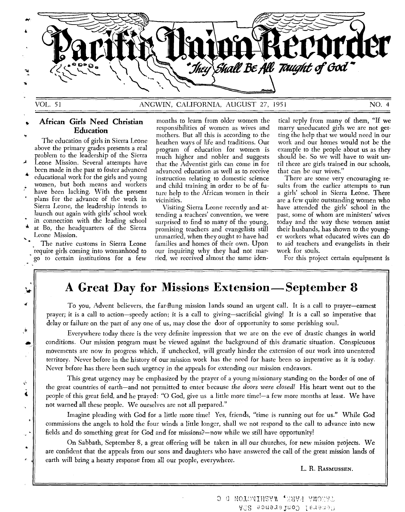

4

رأب

 $\tilde{C}$ š k,

у.

# VOL. 51 ANGWIN, CALIFORNIA, AUGUST 27, 1951 NO. 4

# **African Girls Need Christian Education**

The education of girls in Sierra Leone above the primary grades presents a real problem to the leadership of the Sierra Leone Mission. Several attempts have been made in the past to foster advanced educational work for the girls and young women, but both means and workers have been lacking. With the present plans for the advance of the work in Sierra Leone, the leadership intends to launch out again with girls' school work in connection with the leading school at Bo, the headquarters of the Sierra Leone Mission.

The native customs in Sierra Leone require girls coming into womanhood to go to certain institutions for a few

months to learn from older women the responsibilities of women as wives and mothers. But all this is according to the heathen ways of life and traditions. Our program of education for women is much higher and nobler and suggests that the Adventist girls can come in for advanced education as well as to receive instruction relating to domestic science and child training in order to be of future help to the African women in their vicinities.

Visiting Sierra Leone recently and attending a teachers' convention, we were surprised to find so many of the young, promising teachers and evangelists still unmarried, when they ought to have had families and homes of their own. Upon our inquiring why they had not married, we received almost the same iden-

tical reply from many of them, "If we marry uneducated girls we are not getting the help that we would need in our work and our homes would not be the example to the people about us as they should be. So we will have to wait until there are girls trained in our schools, that can be our wives."

There are some very encouraging results from the earlier attempts to run a girls' school in Sierra Leone. There are a few quite outstanding women who have attended the girls' school in the past, some of whom are ministers' wives today and the way these women assist their husbands, has shown to the younger workers what educated wives can do to aid teachers and evangelists in their work for souls.

For this project certain equipment is

# **A Great Day for Missions Extension—September 8**

To you, Advent believers, the far-flung mission lands sound an urgent call. It is a call to prayer—earnest prayer; it is a call to action—speedy action; it is a call to giving—sacrificial giving! It is a call so imperative that delay or failure on the part of any one of us, may close the door of opportunity to some perishing soul.

Everywhere today there is the very definite impression that we are on the eve of drastic changes in world conditions. Our mission program must be viewed against the background of this dramatic situation. Conspicuous movements are now in progress which, if unchecked, will greatly hinder the extension of our work into unentered territory. Never before in the history of our mission work has the need for haste been so imperative as it is today. Never before has there been such urgency in the appeals for extending our mission endeavors.

This great urgency may be emphasized by the prayer of a young missionary standing on the border of one of the great countries of earth—and not permitted to enter because *the doors were closed!* His heart went out to the people of this great field, and he prayed: "0 God, give us a little more time!—a few more months at least. We have not warned all these people. We ourselves are not all prepared."

Imagine pleading with God for a little more time! Yes, friends, "time is running out for us." While God commissions the angels to hold the four winds a little longer, shall we not respond to the call to advance into new fields and do something great for God and for missions?—now while we still have opportunity!

On Sabbath, September 8, a great offering will be taken in all our churches, for new mission projects. We are confident that the appeals from our sons and daughters who have answered the call of the great mission lands of earth will bring a hearty response from all our people, everywhere.

L. R. RASMUSSEN.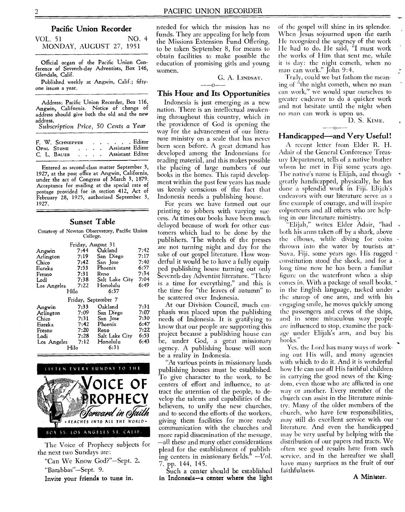## **Pacific Union Recorder**

VOL. 51 NO. 4 MONDAY, AUGUST 27, 1951

Official organ of the Pacific Union Conference of Seventh-day Adventists, Box 146, Glendale, Calif.

Published weekly at Angwin, Calif.; fiftyone issues a year.

Address: Pacific Union Recorder, Box 116, Angwin, California. Notice of change of address should give both the old and the new address.

*Subscription Price,* 50 *Cents a Year* 

|  | F. W. SCHNEPPER |  |  | $\ldots$ Editor    |  |
|--|-----------------|--|--|--------------------|--|
|  | OPAL STONE      |  |  | . Assistant Editor |  |
|  | C. L. BAUER     |  |  | . Assistant Editor |  |

Entered as second-class matter September 3, 1927, at the post office at Angwin, California, under the act of Congress of March 3, 1879. Acceptance for mailing at the special rate of postage provided for in section 412, Act of February 28, 1925, authorized September 3, 1927.

#### Sunset Table

Courtesy of Newton Observatory, Pacific Union College.

| Friday, August 31 |                     |                |      |  |  |  |  |  |  |
|-------------------|---------------------|----------------|------|--|--|--|--|--|--|
| Angwin            | 7:44                | Oakland        | 7:42 |  |  |  |  |  |  |
| Arlington         | 7:19                | San Diego      | 7:17 |  |  |  |  |  |  |
| Chico             | 7:42                | San Jose       | 7:40 |  |  |  |  |  |  |
| Eureka            | 7:53                | Phoenix        | 6:57 |  |  |  |  |  |  |
| Fresno            | 7:31                | Reno           | 7:34 |  |  |  |  |  |  |
| Lodi              | 7:38                | Salt Lake City | 7:04 |  |  |  |  |  |  |
| Los Angeles       | 7:22                | Honolulu       | 6:49 |  |  |  |  |  |  |
| Hilo              |                     | 6:37           |      |  |  |  |  |  |  |
|                   | Friday, September 7 |                |      |  |  |  |  |  |  |
| Angwin            | 7:33                | Oakland        | 7:31 |  |  |  |  |  |  |
| Arlington         | 7:09                | San Diego      | 7:07 |  |  |  |  |  |  |
| Chico             | 7:31                | San Jose       | 7:30 |  |  |  |  |  |  |
| Eureka            | 7:42                | Phoenix        | 6:47 |  |  |  |  |  |  |
| Fresno            | 7:20                | Reno           | 7:22 |  |  |  |  |  |  |
| Lodi              | 7:28                | Salt Lake City | 6:53 |  |  |  |  |  |  |
| Los Angeles       | 7:12                | Honolulu       | 6:43 |  |  |  |  |  |  |
| Hilo              |                     | 6:31           |      |  |  |  |  |  |  |



The Voice of Prophecy subjects for the next two Sundays are:

"Can We Know God?"—Sept. 2. "Barabbas"—Sept. 9.

Invite your friends to tune in.

needed for which the mission has no funds. They are appealing for help from the Missions Extension Fund Offering, to be taken September 8, for means to obtain facilities to make possible the education of promising girls and young women.

G. A. LINDSAY.

# $- -0$

# **This Hour and Its Opportunities**

Indonesia is just emerging as a new nation. There is an intellectual awakening throughout this country, which in the providence of God is opening the way for the advancement of our literature ministry on a scale that has never been seen before. A great demand has developed among the Indonesians for reading material, and this makes possible the placing of large numbers of our books in the homes. This rapid development within the past few years has made us keenly conscious of the fact that Indonesia needs a publishing house.

For years we have farmed out our printing to jobbers with varying success. At times our books have been much delayed because of work for other customers which had to be done by the publishers. The wheels of the presses are not turning night and day for the sake of our gospel literature. How wonderful it would be to have a fully equipped publishing house turning out only Seventh-day Adventist literature. "There is a time for everything," and this is the time for "the leaves of autumn" to be scattered over Indonesia.

At our Division Council, much em phasis was placed upon the publishing needs of Indonesia. It is gratifying to know that our people are supporting this project because a publishing house can be, under God, a great missionary agency. A publishing house will soon be a reality in Indonesia.

"At various points in missionary lands publishing houses must be established. To give character to the work, to be centers of effort and influence, to at tract the attention of the people, to develop the talents and capabilities of the believers, to unify the new churches, and to second the efforts of the workers, giving them facilities for more ready communication with the churches and more rapid dissemination of the message, —all these and many other considerations plead for the establishment of publishing centers in missionary fields." *—Vol. 7.* pp. 144, 145.

Such a center should be established in Indonesia—a center where the light of the gospel will shine in its splendor. When Jesus sojourned upon the earth He recognized the urgency of the work He had to do. He said, "I must work the works of Him that sent me, while it is day: the night cometh, when no man can work." John 9:4.

Truly, could we but fathom the meaning of "the night cometh, when no man can work," we would spur ourselves to greater endeavor to do a quicker work and not hesitate until the night when no man can work is upon us.

D. S. KIME. **----0----** 

# **Handicapped—and Very Useful!**

A recent letter from Elder R. H. Adair of the General Conference Treasury Department, tells of a native brother whom he met in Fiji some years ago. The native's name is Elijah, and though greatly handicapped, physically, he has done a splendid work in Fiji. Elijah's endeavors with our literature serve as a fine example of courage, and will inspire colporteurs and all others who are helping in our literature ministry.

"Elijah," writes Elder Adair, "had both his arms taken off by a shark, above the elbows, while diving for coins thrown into the water by tourists at-Suva, Fiji, some years ago. His rugged constitution stood the shock, and for a long time now he has been a familiar figure on the waterfront when a ship comes in. With a package of small books,  $\cdot$ in the English language, tucked under . the stump of one arm, and with his engaging smile, he moves quickly among the passengers and crews of the ships, and in some miraculous way people are influenced to stop, examine the package under Elijah's arm, and buy his books.'

Yes, the Lord has many ways of working out His will, and many agencies with which to do it. And it is wonderful how He can use *all* His faithful children in carrying the good news of the Kingdom, even those who are afflicted in one way or another. Every member of the church can assist in the literature ministry. Many of the older members of the church, who have few responsibilities, may still do excellent service with our literature. And even the handicapped \_ may be very useful by helping with the distribution of our papers and tracts. We often see good results here from such service, and in the hereafter we shall. have many surprises as the fruit of our faithfulness,

A Minister.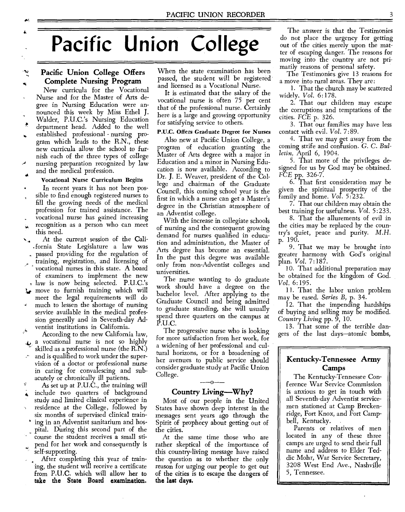# **Pacific Union College**

## **Pacific Union College Offers Complete Nursing Program**

New curricula for the Vocational Nurse and for the Master of Arts degree in Nursing Education were announced this week by Miss Ethel **J.**  Walder, P.U.C.'s Nursing Education department head. Added to the well established professional - nursing program which leads to the R.N., these new curricula allow the school to furnish each of the three types of college nursing preparation recognized by law

# and the medical profession. Vocational Nurse Curriculum Begins

In recent years it has not been possible to find enough registered nurses to fill the growing needs of the medical profession for trained assistance. The vocational nurse has gained increasing recognition as a person who can meet this need.

At the current session of the Cali- .fornia State Legislature a law was

passed providing for the regulation of training, registration, and licensing of vocational nurses in this state. A board of examiners to implement the new

, law is now being selected. P.U.C.'s  $\downarrow$  move to furnish training which will

meet the legal requirements will do much to lessen the shortage of nursing service available in the medical profession generally and in Seventh-day Adventist institutions in California.

According to the new California law,  $\clubsuit$  a vocational nurse is not so highly skilled as a professional nurse (the R.N.) and is qualified to work under the super-

vision of a doctor or professional nurse in caring for convalescing and subacutely or chronically ill patients.

As set up at P.U.C., the training will include two quarters of background

study and limited clinical experience in residence at the College, followed by

six months of supervised clinical train ing in an Adventist sanitarium and hospital. During this second part of the

course the student receives a small stipend for her work and consequently is

self-supporting. After completing this year of train-

ing, the student will receive a certificate from **P.U.C.** which will allow her to **take the State Board examination.** 

When the state examination has been passed, the student will be registered and licensed as a Vocational Nurse.

It is estimated that the salary of the vocational nurse is often 75 per cent that of the professional nurse. Certainly here is a large and growing opportunity for satisfying service to others.

#### P.U.C. Offers Graduate Degree for Nurses

Also new at Pacific Union College, a program of education granting the Master of Arts degree with a major in Education and a minor in Nursing Education is now available. According to Dr. **J.** E. Weaver, president of the College and chairman of the Graduate Council, this coming school year is the first in which a nurse can get a Master's degree in the Christian atmosphere of an Adventist college.

With the increase in collegiate schools of nursing and the consequent growing demand for nurses qualified in education and administration, the Master of Arts degree has become an essential. In the past this degree was available only from non-Adventist colleges and universities.

The nurse wanting to do graduate work should have a degree on the bachelor level. After applying to the Graduate Council and being admitted to graduate standing, she will usually spend three quarters on the campus at P.U.C.

The progressive nurse who is looking For more satisfaction from her work, for a widening of her professional and cultural horizons, or for a broadening of her avenues to public service should consider graduate study at Pacific Union College. **--0--** 

## **Country Living—Why?**

Most of our people in the United States have shown deep interest in the messages sent years ago through the Spirit of prophecy about getting out of the cities.

At the same time those who are rather skeptical of the importance of this country-living message have raised the question as to whether the only reason for urging our people to get out of the cities is to escape the dangers of **the last days.** 

The answer is that the Testimonies do not place the urgency for getting out of the cities merely upon the matter of escaping danger. The reasons for moving into the country are not primarily reasons of personal safety.

The Testimonies give 13 reasons for a move into rural areas. They are:

1. That the church may be scattered widely. *Vol.* 6:178.

2. That our children may escape the corruptions and temptations of the cities. FCE p. 326.

3. That our families may have less contact with evil. *Vol. 7:89.* 

4. That we may get away from the coming strife and confusion. *G.* C. *Bulletin,* April 6, 1904.

5. That more of the privileges designed for us by God may be obtained. *FCE* pp. 326-7.

6. That first consideration may be given the spiritual prosperity of the family and home. *Vol.* 5:232.

7. That our children may obtain the best training for usefulness. *Vol.* 5:233.

8. That the allurements of evil in the cities may be replaced by the country's quiet, peace and purity. *M.H.*  p. 190.

9. That we may be brought into greater harmony with God's original plan. *Vol. 7:187.* 

10. That additional preparation may be obtained for the kingdom of God. *Vol.* 6:195.

11. That the labor union problem may be eased. *Series B,* p. 34.

12. That the impending hardships of buying and selling may be modified. *Country Living* pp. 9, 10.

13. That some of the terrible dangers of the last days—atomic bombs,

# **Kentucky-Tennessee Army Camps**

The Kentucky-Tennessee Conference War Service Commission is anxious to get in touch with all Seventh-day Adventist servicemen stationed at Camp Breckenridge, Fort Knox, and Fort Campbell, Kentucky.

Parents or relatives of men located in any of these three camps are urged to send their full name and address to Elder Teddic Mohr, War Service Secretary, 3208 West End Ave., Nashville 5, Tennessee.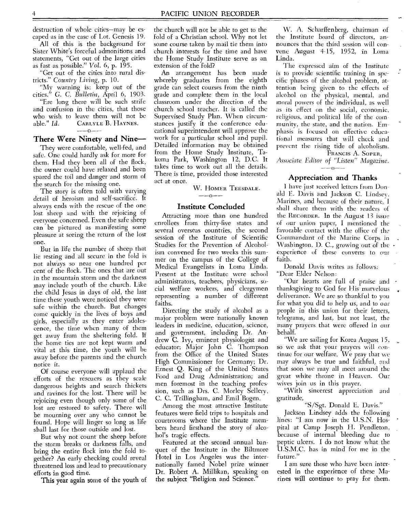destruction of whole cities—may be escaped as in the case of Lot. Genesis 19.

All of this is the background for Sister White's forceful admonitions and statements, "Get out of the large cities as fast as possible." *Vol.* 6, p. 195.

"Get out of the cities into rural districts." *Country Living,* p. 10.

"My warning is: keep out of the cities." *G.* C. *Bulletin,* April 6, 1903.

"Ere long there will be such strife and confusion in the cities, that those who wish to leave them will not be<br>able." Id. CARLYLE B. HAYNES. CARLYLE B. HAYNES.

#### There Were Ninety and Nine—

They were comfortable, well-fed, and safe. One could hardly ask for more for them. Had they been all of the flock, the owner could have relaxed and been spared the toil and danger and storm of the search for the missing one.

The story is often told with varying detail of heroism and self-sacrifice. It always ends with the rescue of the one lost sheep and with the rejoicing of everyone concerned. Even the safe sheep can be pictured as manifesting some pleasure at seeing the return of the lost one.

But in life the number of sheep that lie resting and all secure in the fold is not always so near one hundred per cent of the flock. The ones that are out in the mountain storm and the darkness may include youth of the church. Like the child Jesus in days of old, the last time these youth were noticed they were safe within the church. But changes come quickly in the lives of boys and girls, especially as they enter adolescence, the time when many of them get away from the sheltering fold. If the home ties are not kept warm and vital at this time, the youth will be away before the parents and the church notice it.

Of course everyone will applaud the efforts of the rescuers as they scale dangerous heights and search thickets and ravines for the lost. There will be rejoicing even though only some of the lost are restored to safety. There will be mourning over any who cannot be found. Hope will linger so long as life shall last for those outside and lost.

But why not count the sheep before the storm breaks or darkness falls, and bring the entire flock into the fold together? An early checking could reveal threatened loss and lead to precautionary efforts in good time.

This year again some of the youth of

the church will not be able to get to the fold of a Christian school. Why not let some course taken by mail tie them into church interests for the time and have the Home Study Institute serve as an extension of the fold?

An arrangement has been made whereby graduates from the eighth grade can select courses from the ninth grade and complete them in the local classroom under the direction of the church school teacher. It is called the Supervised Study Plan. When circumstances justify it the conference educational superintendent will approve the work for a particular school and pupil. Detailed information may be obtained from the Home Study Institute, Takoma Park, Washington 12, D.C. It takes time to work out all the details. There is time, provided those interested act at once.

W. HOMER TEESDALE.

# $\frac{1}{2}$ Institute Concluded

Attracting more than one hundred enrollees from thirty-five states and several overseas countries, the second session of the Institute of Scientific Studies for the Prevention of Alcoholism convened for two weeks this summer on the campus of the College of Medical Evangelists in Loma Linda. Present at the Institute were school administrators, teachers, physicians, social welfare workers, and clergymen representing a number of different faiths.

Directing the study of alcohol as a major problem were nationally known leaders in medicine, education, science, and government, including Dr. Andrew C. Ivy, eminent physiologist and educator; Major John C. Thompson from the Office of the United States High Commissioner for Germany; Dr. Ernest Q. King of the United States Food and Drug Administration; and men foremost in the teaching profession, such as Drs. C. Morley Sellery, C. C. Trillingham, and Emil Bogen.

Among the most attractive Institute features were field trips to hospitals and courtrooms where the Institute members heard firsthand the story of alcohol's tragic effects.

Featured at the second annual banquet of the Institute in the Biltmore Hotel in Los Angeles was the internationally famed Nobel prize winner Dr. Robert A. Millikan, speaking on the subject "Religion and Science."

W. A. Scharffenberg, chairman of the Institute board of directors, announces that the third session will convene August 4-15, 1952, in Loma Linda.

The expressed aim of the Institute is to provide scientific training in specific phases of the alcohol problem, attention being given to the effects of alcohol on the physical, mental, and moral powers of the individual, as well as its effect on the social, economic. religious, and political life of the community, the state, and the nation. Emphasis is focused on effective educational measures that will check and prevent the rising tide of alcoholism. FRANCIS A. SOPER,

*Associate Editor of "Listen" Magazine.*   $-$ -0-

# Appreciation and Thanks

I have just received letters from Donald E. Davis and Jackson C. Lindsey, Marines, and because of their nature, I shall share them with the readers of the RECORDER. In the August 13 issue of our union paper, I mentioned the favorable contact with the office of the Commandant of the Marine Corps in Washington, D. C., growing out of the  $\cdot$ experience of these converts to our faith.

Donald Davis writes as follows: "Dear Elder Nelson:

"Our hearts are full of praise and thanksgiving to God for His marvelous deliverance. We are so thankful to you for what you did to help us, and to our people in this union for their letters, telegrams, and last, but not least, the many prayers that were offered in our behalf.

"We are sailing for Korea August. 15, so we ask that your prayers will continue for our welfare. We pray that we may always be true and faithful, and that soon we may all meet around the great white throne in Heaven. Our wives join us in this prayer.

"With sincerest appreciation and gratitude,

"S/Sgt. Donald E. Davis."

Jackson Lindsey adds the following lines: "I am now in the U.S.N. Hospital at Camp Joseph H. Pendleton, because of internal bleeding due to peptic ulcers. I do not know what the U.S.M.C. has in mind for me in the future."

I am sure those who have been interested in the experience of these Marines will continue to pray for them.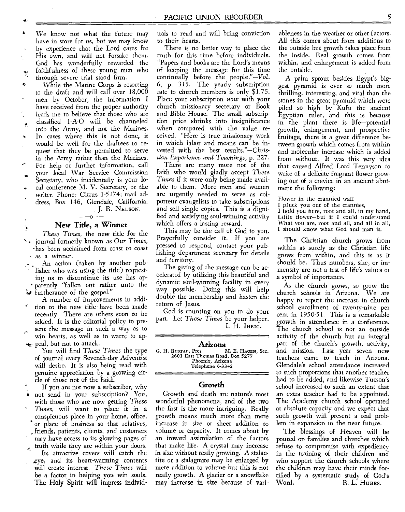We know not what the future may have in store for us, but we may know by experience that the Lord cares for His own, and will not forsake them. God has wonderfully rewarded the faithfulness of these young men who through severe trial stood firm.

While the Marine Corps is resorting to the draft and will call over 18,000 men by October, the information I have received from the proper authority leads me to believe that those who are classified 1-A-0 will be channeled into the Army, and not the Marines. In cases where this is not done, it would be well for the draftees to request that they be permitted to serve in the Army rather than the Marines. For help or further information, call

your local War Service Commission Secretary, who incidentally is your lo-

- cal conference M. V. Secretary, or the writer. Phone: Citrus 1-5174; mail ad-
- dress, Box 146, Glendale, California. J. R. NELSON.

•

# **New Title, a Winner**

*These Times,* the new title for the s•-• journal formerly known as Our *Times,*  -has been acclaimed from coast to coast as a winner.

- An action (taken by another pub lisher who was using the title) requesting us to discontinue its use has apparently "fallen out rather unto the *Furtherance* of the gospel."
- A number of improvements in addi tion to the new title have been made recently. There are others soon to be added. It is the editorial policy to present the message in such a way as to يأبي win hearts, as well as to warn; to ap peal, but not to attack.
- You will find *These Times* the type of journal every Seventh-day Adventist will desire. It is also being read with genuine appreciation by a growing circle of those not of the faith.
- If you are not now a subscriber, why not send in your subscription? You, with those who are now getting *These Times,* will want to place it in a conspicuous place in your home, office, or place of business so that relatives, friends, patients, clients, and customers may have access to its glowing pages of truth while they are within your doors.
- Its attractive covers will catch the ,eye, and its heart-warming contents will create interest. *These Times* will be a factor in helping you win souls. The Holy Spirit will impress individ-

uals to read and will bring conviction to their hearts.

There is no better way to place the truth for this time before individuals. "Papers and books are the Lord's means of keeping the message for this time continually before the people."—Vol. 6, p. 315. The yearly subscription rate to church members is only \$1.75. Place your subscription *now* with your church missionary secretary or Book and Bible House. The small subscription price shrinks into insignificance when compared with the value received. "Here is true missionary work in which labor and means can be invested with the best results."—Christian *Experience and Teachings,* p. 227.

There are many more not of the faith who would gladly accept *These Times* if it were only being made available to them. More men and women are urgently needed to serve as colporteur evangelists to take subscriptions and sell single copies. This is a dignified and satisfying soul-winning activity which offers a lasting reward.

This may be the call of God to you. Prayerfully consider it. If you are pressed to respond, contact your publishing department secretary for details and territory.

The giving of the message can be accelerated by utilizing this beautiful and dynamic soul-winning facility in every way possible. Doing this will help double the membership and hasten the return of Jesus.

God is counting on you to do your part. Let *These Times* be your helper. I. H. IHRIG.

#### **Arizona**

G. H. RUSTAD, Pres. M. E. HAGEN, Sec. 2601 East Thomas Road, Box 5277 Phoenix, Arizona Telephone 6-3342

#### **Growth**

Growth and death are nature's most wonderful phenomena, and of the two the first is the more intriguing. Really growth means much more than mere increase in size or sheer addition to volume or capacity. It comes about by an inward assimilation of the factors that make life. A crystal may increase in size without really growing. A stalactite or a stalagmite may be enlarged by mere addition to volume but this is not really growth. A glacier or a snowflake may increase in size because of variableness in the weather or other factors. All this comes about from additions to the outside but growth takes place from the inside. Real growth comes from within, and enlargement is added from the outside.

A palm sprout besides Egypt's biggest pyramid is ever so much more thrilling, interesting, and vital than the stones in the great pyramid which were piled so high by Kufu the ancient Egyptian ruler, and this is because in the plant there is life—potential growth, enlargement, and prospective fruitage, there is a great difference between growth which comes from within and molecular increase which is added from without. It was this very idea that caused Alfred Lord Tennyson to write of a delicate fragrant flower growing out of a crevice in an ancient abutment the following:

Flower in the crannied wall

- pluck you out of the crannies,
- I hold you here, root and all, in my hand, Little flower—but if I could understand What you are, root and all, and all in all, I should know what God and man is.

The Christian church grows from within as surely as the Christian life grows from within, and this is as it should be. Thus numbers, size, or immensity are not a test of life's values or a symbol of importance.

As the church grows, so grow the church schools in Arizona. We are happy to report the increase in church school enrollment of twenty-nine per cent in 1950-51. This is a remarkable growth in attendance in a conference. The church school is not an outside activity of the church but an integral part of the church's growth, activity, and mission. Last year seven new teachers came to teach in Arizona. Glendale's school attendance increased to such proportions that another teacher had to be added, and likewise Tucson's school increased to such an extent that an extra teacher had to be appointed. The Academy church school operated at absolute capacity and we expect that such growth will present a real problem in expansion in the near future.

The blessings of Heaven will be poured on families and churches which refuse to compromise with expediency in the training of their children and who support the church schools where the children may have their minds fortified by a systematic study of God's<br>Word. R. L. HUBBS. R. L. Hubbs.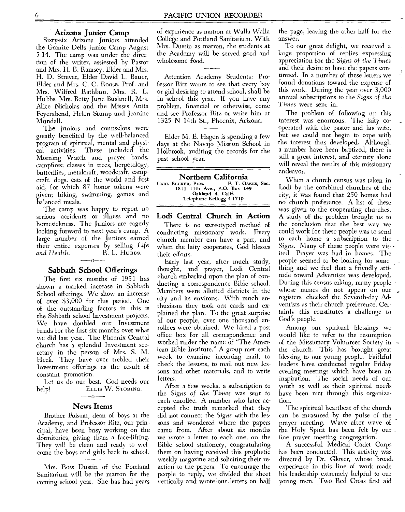#### **Arizona Junior Camp**

Sixty-six Arizona Juniors attended the Granite Dells Junior Camp August 5-14. The camp was under the direction of the writer, assiested by Pastor and Mrs. H. B. Ramsey, Elder and Mrs. H. D. Strever, Elder David L. Bauer, Elder and Mrs. C. C. Rouse, Prof. and Mrs. Wilfred Rathbun, Mrs. R. L. Hubbs, Mrs. Betty June Bushnell, Mrs. Alice Nicholas and the Misses Anita Feyerabend, Helen Stump and Jeanine Mundall.

The juniors and counselors were greatly benefited by the well-balanced program of spiritual, mental and physi-These included the Morning Watch and prayer bands, campfires; classes in trees, herpetology, butterflies, metalcraft, woodcraft, campcraft, dogs, cats of the world and first aid, for which 87 honor tokens were given; hiking, swimming, games and balanced meals.

The camp was happy to report no serious accidents or illness and no homesickness. The Juniors are eagerly looking forward to next year's camp. A large number of the Juniors earned their entire expenses by selling Life *and Health.* R. L. Hubbs.

# --o-- **- Sabbath School Offerings**

The first six months of 1951 has shown a marked increase in Sabbath School offerings. We show an increase of over \$3,000 for this period. One of the outstanding factors in this is the Sabbath school Investment projects. We have doubled our Investment funds for the first six months over what we did last year. The Phoenix Central church has a splendid Investment secretary in the person of Mrs. S. M. Heck. They have over trebled their Investment offerings as the result of constant promotion.

Let us do our best. God needs our help! ELLIS W. STORING.

 $-0-$ 

#### **News Items**

Brother Folsom, dean of boys at the Academy, and Professor Ritz, our principal, have been busy working on the dormitories, giving them a face-lifting. They will be clean and ready to welcome the boys and girls back to school.

Mrs. Ross Dustin of the Portland Sanitarium will be the matron for the coming school year. She has had years of experience as matron at Walla Walla College and Portland Sanitarium. With Mrs. Dustin as matron, the students at the Academy will be served good and wholesome food.

Attention Academy Students: Professor Ritz wants to see that every boy or girl desiring to attend school, shall be in school this year. If you have any problem, financial or otherwise, come and see Professor Ritz or write him at 1325 N 14th St., Phoenix, Arizona.

Elder M. E. Hagen is spending a few days at the Navajo Mission School in Holbrook, auditing the records for the past school year.

**Northern California**  CARL BECKER, Pres. F. T. OAKES, Sec. 1811 1 1 th Ave., P.O. Box 149 Oakland 4, Calif. Telephone Kellogg 4-1719

#### **Lodi Central Church in Action**

There is no stereotyped method of conducting missionary work. Every church member can have a part, and when the laity cooperates, God blesses their efforts.

Early last year, after much study, thought, and prayer, Lodi Central church embarked upon the plan of conducting a correspondence Bible school. Members were allotted districts in the city and its environs. With much enthusiasm they took out cards and explained the plan. To the great surprise of our people, over one thousand enrollees were obtained. We hired a post office box for all correspondence and worked under the name of "The American Bible Institute." A group met each week to examine incoming mail, to check the lessons, to mail out new lessons and other materials, and to write letters.

After a few weeks, a subscription to the *Signs of the Times* was sent to each enrollee. A number who later accepted the truth remarked that they did not connect the Signs with the lessons and wondered where the papers came from. After about six months we wrote a letter to each one, on the Bible school stationery, congratulating them on having received this prophetic weekly magazine and soliciting their reaction to the papers. To encourage the people to reply, we divided the sheet vertically and wrote our letters on half

the page, leaving the other half for the answer.

To our great delight, we received a large proportion of replies expressing appreciation for the *Signs of the Times*  and their desire to have the papers continued. In a number of these letters we found donations toward the expense of this work. During the year over 3,000 annual subscriptions to the *Signs of the Times* were sent in.

The problem of following up this interest was enormous. The laity cooperated with the pastor and his wife, but we could not begin to cope with the interest thus developed. Although a number have been baptized, there is still a great interest, and eternity alone will reveal the results of this missionary endeavor.

When a church census was taken in Lodi by the combined churches of the city, it was found that 250 homes had no church preference. A list of these was given to the cooperating churches. A study of the problem brought us to the conclusion that the best way we could work for these people was to send to each home a subscription to the *Signs.* Many of these people were visited. Prayer was had in homes. The people seemed to be looking for something and we feel that a friendly attitude toward Adventists was developed. During this census taking, many people whose names do not appear on our  $\sqrt{ }$ registers, checked the Seventh-day Adventists as their church preference. Certainly this constitutes a challenge to God's people.

Among our spiritual blessings we would like to refer to the resumption of the Missionary Volunteer Society in the church. This has brought great blessing to our young people. Faithful leaders have conducted regular Friday evening meetings which have been an inspiration. The social needs of our youth as well as their spiritual needs have been met through this organization.

'The spiritual heartbeat of the church can be measured by the pulse of the prayer meeting. Wave after wave of the Holy Spirit has been felt by our fine prayer meeting congregation.

A successful Medical Cadet Corps has been conducted. This activity was directed by Dr. Glover, whose broad. experience in this line of work made his leadership extremely helpful to our young men. Two Red Cross first aid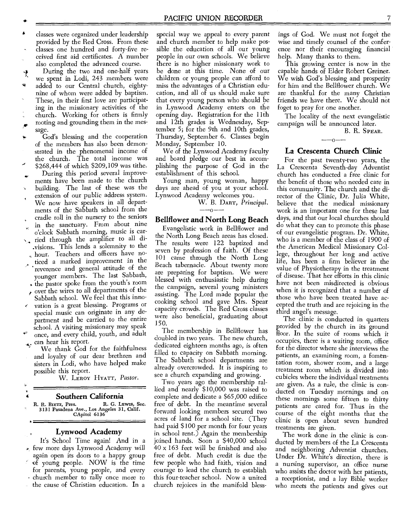classes were organized under leadership provided by the Red Cross. From these classes one hundred and forty-five received first aid certificates. A number also completed the advanced course.

During the two and one-half years we spent in Lodi, 243 members were added to our Central church, eightynine of whom were added by baptism. These, in their first love are participating in the missionary activities of the church. Working for others is firmly rooting and grounding them in the message.

God's blessing and the cooperation of the members has also been demonstrated in the phenomenal income of the church. The total income was \$268,444 of which \$209,109 was tithe.

During this period several improvements have been made to the church

building. The last of these was the extension of our public address system. We now have speakers in all departments of the Sabbath school from the

cradle roll in the nursery to the seniors in the sanctuary. From about nine o'clock Sabbath morning, music is car-

 $\sim$  ried through the amplifier to all di-.visions. This lends a solemnity to the hour. Teachers and officers have no-

ticed a marked improvement in the reverence and general attitude of the younger members. The last Sabbath,

the pastor spoke from the youth's room over the wires to all departments of the

Sabbath school. We feel that this innovation is a great blessing. Programs or

special music can originate in any department and be carried to the entire school. A visiting missionary may speak once, and every child, youth, and adult

can hear his report.

We thank God for the faithfulness and loyalty of our dear brethren and sisters in Lodi, who have helped make possible this report.

W. LEROY HYATT, *Pastor.* 

#### **Southern California**

R. R. BIETZ, Pres. R. G. LEWIS, Sec. 3131 Pasadena Ave., Los Angeles 31, Calif. CApitol 6136

## **Lynwood Academy**

It's School Time again! And in a few more days Lynwood Academy will again open its doors to a happy group of young people. NOW is the time for parents, young people, and every church member to rally once more to the cause of Christian education. In a

special way we appeal to every parent and church member to help make possible the education of all our young people in our own schools. We believe there is no higher missionary work to be done at this time. None of our children or young people can afford to miss the advantages of a Christian education, and all of us should make sure that every young person who should be in Lynwood Academy enters on the opening day. Registration for the 11th and 12th grades is Wednesday, September 5; for the 9th and 10th grades, Thursday, September 6. Classes begin Monday, September 10.

We of the Lynwood Academy faculty and. board pledge our best in accomplishing the purpose of God in the establishment of this school.

Young man, young woman, happy days are ahead of you at your school. Lynwood Academy welcomes you.

W. B. DART, *Principal. --O--* 

# **Bellflower and North Long Beach**

Evangelistic work in Bellflower and the North Long Beach areas has closed. 'The results were 122 baptized and seven by profession of faith. Of these 101 came through the North Long Beach tabernacle. About twenty more are preparing for baptism. We were blessed with enthusiastic help during the campaign, several young ministers assisting. The Lord made popular the cooking school and gave Mrs. Spear capacity crowds. The Red Cross classes were also beneficial, graduating about 150.

The membership in Bellflower has doubled in two years. The new church, dedicated eighteen months ago, is often filled to capacity on Sabbath morning. The Sabbath school departments are already overcrowded. It is inspiring to see a church expanding and growing.

Two years ago the membership rallied and nearly \$10,000 was raised to complete and dedicate a \$65,000 edifice free of debt. In the meantime several forward looking members secured two acres of land for a school site. (They had paid \$100 per month for four years in school rent.) Again the membership joined hands. Soon a \$40,000 school 40 x 163 feet will be finished and also free of debt. Much credit is due the few people who had faith, vision and courage to lead the church to establish this four-teacher school. Now a united church rejoices in the manifold blessings of God. We must not forget the wise and timely counsel of the conference nor their encouraging financial help. Many thanks to them.

This growing center is now in the capable hands of Elder Robert Greiner. We wish God's blessing and prosperity for him and the Bellflower church. We are thankful for the many Christian friends we have there. We should not foget to pray for one another.

The locality of the next evangelistic campaign will be announced later.

B. R. SPEAR.

# --0--

# **La Crescenta Church Clinic**

For the past twenty-two years, the La Crescenta Seventh-day Adventist church has conducted a free clinic for the benefit of those who needed care in this community. The church and the director of the Clinic, Dr. Julia White, believe that the medical missionary work is an important one for these last days, and that our local churches should do what they can to promote this phase of our evangelistic program. Dr. White, who is a member of the class of 1900 of the American Medical Missionary College, throughout her long and active life, has been a firm believer in the value of Physiotherapy in the treatment of disease. That her efforts in this clinic have not been misdirected is obvious when it is recognized that a number of those who have been treated have accepted the truth and are rejoicing in the third angel's message.

The clinic is conducted in quarters provided by the church in its ground floor. In the suite of rooms which it occupies, there is a waiting room, office for the director where she interviews the patients, an examining room, a fomentation room, shower room, and a large treatment room which is divided into cubicles where the individual treatments are given. As a rule, the clinic is conducted on Tuesday mornings and on these mornings some fifteen to thirty patients are cared for. Thus in the course of the eight months that the clinic is open about seven hundred treatments are given.

The work done in the clinic is conducted by members of the La Crescenta and neighboring Adventist churches. Under Dr. White's direction, there is a nursing supervisor, an office nurse who assists the doctor with her patients, a receptionist, and a lay Bible worker who meets the patients and gives out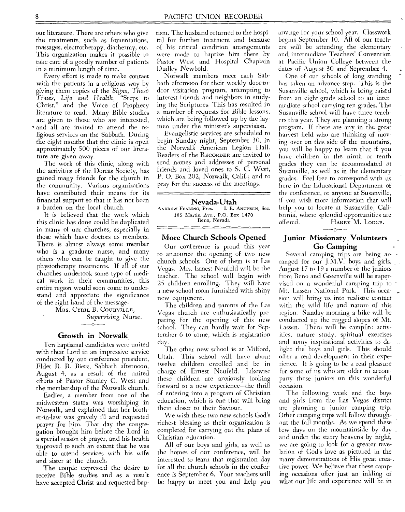our literature. There are others who give the treatments, such as fomentations, massages, electrotherapy, diathermy, etc. This organization makes it possible to take care of a goodly number of patients in a minimum length of time.

Every effort is made to make contact with the patients in a religious way by giving them copies of the *Signs, These Times, Life and Health,* "Steps to Christ," and the Voice of Prophecy literature to read. Many Bible studies are given to those who are interested, \* and all are invited to attend the religious services on the Sabbath. During the eight months that the clinic is open approximately 500 pieces of our literature are given away.

The work of this clinic, along with the activities of the Dorcas Society, has gained many friends for the church in the community. Various organizations have contributed their means for its financial support so that it has not been a burden on the local church.

It is believed that the work which this clinic has done could be duplicated in many of our churches, especially in those which have doctors as members. There is almost always some member who is a graduate nurse, and many others who can be taught to give the physiotherapy treatments. If all of our churches undertook some type of medical work in their communities, this entire region would soon come to understand and appreciate the significance of the right hand of the message.

MRS. CYRIL B. COURVILLE, *Supervising Nurse.* 

# $-$ -0 $-$ Growth in Norwalk

Ten baptismal candidates were united with their Lord in an impressive service conducted by our conference president, Elder R. R. Bietz, Sabbath afternoon, August 4, as a result of the united efforts of Pastor Stanley C. West and the membership of the Norwalk church.

Earlier, a member from one of the midwestern states was worshiping in Norwalk, and explained that her brother-in-law was gravely ill and requested prayer for him. That day the congregation brought him before the Lord in a special season of prayer, and his health improved to such an extent that he was able to attend services with his wife and sister at the church.

The couple expressed the desire to receive Bible studies and as a result have accepted Christ and requested baptism. The husband returned to the hospital for further treatment and because of his critical condition arrangements were made to baptize him there by Pastor West and Hospital Chaplain Dudley Newbold.

Norwalk members meet each Sabbath afternoon for their weekly door-todoor visitation program, attempting to interest friends and neighbors in studying the Scriptures. This has resulted in a number of requests for Bible lessons, which are being followed up by the laymen under the minister's supervision.

Evangelistic services are scheduled to begin Sunday night, September 30, in the Norwalk American Legion Hall. Readers of the RECORDER are invited to send names and addresses of personal friends and loved ones to S. C. West, P. O. Box 202, Norwalk, Calif.; and to pray for the success of the meetings.

#### Nevada-Utah

ANDREW FEARING, Pres. I. E. ANUNSEN, Sec. 185 Martin Ave., P.O. Box 1470 Reno, Nevada

#### More Church Schools Opened

Our conference is proud this year to announce the opening of two new church schools. One of them is at Las Vegas. Mrs. Ernest Neufeld will be the teacher. The school will begin with 25 children enrolling. They will have a new school room furnished with shiny new equipment.

The children and parents of the Las Vegas church are enthusiastically pre paring for the opening of this new school. They can hardly wait for September 6 to come, which is registration day.

The other new school is at Milford, Utah. This school will have about twelve children enrolled and be in charge of Ernest Neufeld. Likewise these children are anxiously looking forward to a new experience—the thrill of entering into a program of Christian education, which is one that will bring them closer to their Saviour.

We wish these two new schools God's richest blessing as their organization is completed for carrying out the plans of Christian education.

All of our boys and girls, as well as the homes of our conference, will be interested to learn that registration day for all the church schools in the conference is September 6. Your teachers will be happy to meet you and help you

arrange for your school year. Classwork begins September 10. All of our teachers will be attending the elementary and intermediate Teachers' Convention at Pacific Union College between the dates of August 30 and September 4.

One of our schools of long standing has taken an advance step. This is the Susanville school, which is being raised from an eight-grade school to an intermediate school carrying ten grades. The Susanville school will have three teachers this year. They are planning a strong program. If there are any in the great harvest field who are thinking of moving over on this side of the mountains, you will be happy to learn that if you have children in the ninth or tenth grades they can be accommodated at Susanville, as well as in the elementary grades. Feel free to correspond with us here in the Educational Department of the conference, or anyone at Susanville, if you wish more information that will help you to locate at Susanville, California, where splendid opportunities are offered. HARRY M. LODGE.

## $-$ -0--Junior Missionary Volunteers Go Camping

Several camping trips are being arranged for our J.M.V. boys and girls. August 17 to 19 a number of the juniors from Reno and Greenville will be supervised on a wonderful camping trip to Mt. Lassen National Park. This occasion will bring us into realistic contact with the wild life and nature of this region. Sunday morning a hike will be conducted up the rugged slopes of Mt. Lassen. There will be campfire activities, nature study, spiritual exercises and many inspirational activities to delight the boys and girls. This should offer a real development in their experience. It is going to be a real pleasure for some of us who are older to accompany these juniors on this wonderful occasion.

The following week end the boys and girls from the Las Vegas district are planning a junior camping trip. Other camping trips will follow throughout the fall months. As we spend these few days on the mountainside by day and under the starry heavens by night, we are going to look for a greater revelation of God's love as pictured in the many demonstrations of His great crea-. tive power. We believe that these camping occasions offer just an inkling of what our life and experience will be in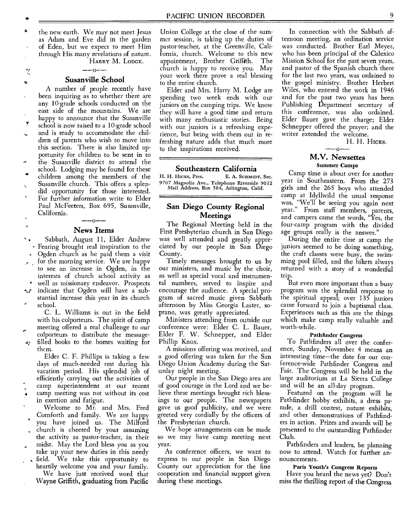the new earth. We may not meet Jesus as Adam and Eve did in the garden of Eden, but we expect to meet Him through His many revelations of nature. HARRY M. LODGE.

ツ

 $\mathbf{v}$ 

# $-$ 0 $-$ -**Susanville School**

A number of people recently have been inquiring as to whether there are any 10-grade schools conducted on the east side of the mountains. We are happy to announce that the Susanville school is now raised to a 10-grade school and is ready to accommodate the children of parents who wish to move into this section. There is also limited opportunity for children to be sent in to the Susanville district to attend the school. Lodging may be found for these children among the members of the Susanville church. This offers a splendid opportunity for those interested. For further information write to Elder Paul McF'eeters, Box 695, Susanville, California.  $-0$ --

### **News Items**

Sabbath, August 11, Elder Andrew ×., Fearing brought real inspiration to the Ogden church as he paid them a visit for the morning service. We are happy to see an increase in Ogden, in the interests of church school activity as well as missionary endeavor. Prospects indicate that Ogden will have a sub-لاية stantial increase this year in its church

school.

C. L. Williams is out in the field with his colporteurs. The spirit of camp meeting offered a real challenge to our colporteurs to distribute the messagefilled books to the homes waiting for ide. them.

Elder C. F. Phillips is taking a few days of much-needed rest during his vacation period. His splendid job of efficiently carrying out the activities of camp superintendent at our recent **<sup>4</sup>**camp meeting was not without its cost in exertion and fatigue.

Welcome to Mr. and Mrs. Fred Cornforth and family. We are happy you have joined us. The Milford church is cheered by your assuming the activity as pastor-teacher, in their midst. May the Lord bless you as you take up your new duties in this needy field. We take this opportunity to

heartily welcome you and your family. We have just received word that Wayne Griffith, graduating from Pacific

Union College at the close of the summer session, is taking up the duties of pastor-teacher, at the Greenville, California, church. Welcome to this new appointment, Brother Griffilth. The church is happy to receive you. May your work there prove a real blessing to the entire church.

Elder and Mrs. Harry M. Lodge are spending two week ends with our juniors on the camping trips. We know they will have a good time and return with many enthusiastic stories. Being with our juniors is a refreshing experience, but being with them out in refreshing nature adds that much more to the inspirations received.

#### **Southeastern California**

H. H. HICKS, Pres. E. A. SCHMIDT, Sec. 9707 Magnolia Ave., Telephone Riverside 9012 Mail Address, Box 584, Arlington, Calif.

# **San Diego County Regional Meetings**

The Regional Meeting held in the First Presbyterian church in San Diego was well attended and greatly appreciated by our people in San Diego County.

Timely messages brought to us by our ministers, and music by the choir, as well as special vocal and instrumental numbers, served to inspire and encourage the audience. A special program of sacred music given Sabbath afternoon by Miss Georgia Laster, soprano, was greatly appreciated.

Ministers attending from outside our conference were: Elder C. L. Bauer, Elder F. W. Schnepper, and Elder Phillip Knox.

A missions offering was received, and a good offering was taken for the San Diego Union Academy during the Saturday night meeting.

Our people in the San Diego area are of good courage in the Lord and we believe these meetings brought rich blessings to our people. The newspapers gave us good publicity, and we were greeted very cordially by the officers of the Presbyterian church.

We hope arrangements can be made so we may have camp meeting next year.

As conference officers, we want to express to our people in San Diego County our appreciation for the fine cooperation and financial support given during these meetings.

In connection with the Sabbath afternoon meeting, an ordination service was conducted. Brother Earl Meyer, who has been principal of the Calexico Mission School for the past seven years, and pastor of the Spanish church there for the last two years, was ordained to the gospel ministry. Brother Herbert Wiles, who entered the work in 1946 and for the past two years has been Publishing Department secretary of this conference, was also ordained. Elder Bauer gave the charge; Elder Schnepper offered the prayer; and the writer extended the welcome.

H. H. HICKS.  $- - - - -$ 

## **M.V. Newsettes**  Summer Camps

Camp time is about over for another year in Southeastern. From the 273 girls and the 265 boys who attended camp at Idyllwild the usual response was, "We'll be seeing you again next year." From staff members, parents, and campers came the words, "Yes, the four-camp program with the divided age groups really is the answer."

During the entire time at camp the juniors seemed to be doing something, the craft classes were busy, the swimming pool filled, and the hikers always returned with a story of a wonderful trip.

But even more important than a busy program was the splendid response to the spiritual appeal; over 135 juniors came forward to join a baptismal class. Experiences such as this are the things which make camp really valuable and worth-while.

#### Pathfinder Congress

To Pathfinders all over the conference, Sunday, November 4 means an interesting time—the date for our conference-wide Pathfinder Congress and Fair. The Congress will be held in the large auditorium at La Sierra College and will be an all-day program.

Featured on the program will be Pathfinder hobby exhibits, a dress parade, a drill contest, nature exhibits, and other demonstrations of Pathfinders in action. Prizes and awards will be presented to the outstanding Pathfinder Club.

Pathfinders and leaders, be planning now to attend. Watch for further announcements.

#### Paris Youth's Congress Reports

Have you heard the news yet? Don't miss the thrilling report of the Congress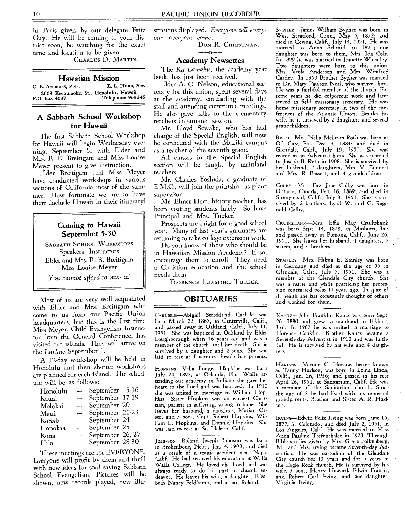in Paris given by our delegate Fritz Guy. He will be coming to your district soon; be watching for the exact time and location to be given.

CHARLES D. MARTIN.

#### **Hawaiian Mission**

| C. E. ANDROSS, Pres. | E. L. HERR, Sec.                                         |
|----------------------|----------------------------------------------------------|
| P.O. Box 4037        | 2003 Keeaumoku St., Honolulu, Hawaii<br>Telephone 969345 |

# **A Sabbath School Workshop for Hawaii**

The first Sabbath School Workshop for Hawaii will begin Wednesday evening, September 5, with Elder and Mrs. R. R. Breitigam and Miss Louise Meyer present to give instruction.

Elder Breitigam and Miss Meyer have conducted workshops in various sections of California most of the summer. How fortunate we are to have them include Hawaii in their itinerary!

# **Coming to Hawaii September** 5-30

SABBATH SCHOOL WORKSHOPS Speakers—Instructors Elder and Mrs. R. R. Breitigam Miss Louise Meyer

You *cannot afford to miss it!* 

Most of us are very well acquainted with Elder and Mrs. Breitigam who come to us from our Pacific Union headquarters, but this is the first time Miss Meyer, Child Evangelism Instructor from the General Conference, has visited our islands. They will arrive on the *Lurline* September 1.

A 12-day workshop will be held in Honolulu and then shorter workshops are planned for each island. The schedule will be as follows:

| Honolulu | --                       | September 5-16   |  |
|----------|--------------------------|------------------|--|
| Kauai    | ÷,                       | September 17-19  |  |
| Molokai  |                          | September 20     |  |
| Maui     | ---                      | September 21-23  |  |
| Kohala   | $\overline{\phantom{0}}$ | September 24     |  |
| Honokaa  | -                        | September 25     |  |
| Kona     | $\overline{\phantom{a}}$ | September 26, 27 |  |
| Hilo     | -                        | September 28-30  |  |

These meetings are for EVERYONE. Everyone will profit by them and thrill with new ideas for soul saving Sabbath School Evangelism. Pictures will be shown, new records played, new illustrations displayed. *Everyone tell everyone—everyone come.* 

Don R. Christman.<br>——0——

# **Academy Newsettes**

The *Ka Lamaku,* the academy year book, has just been received.

Elder A. C. Nelson, educational secretary for this union, spent several days at the academy, counseling with the staff and attending committee meetings. He also gave talks to the elementary teachers in summer session.

Mr. Lloyd Sewake, who has had charge of the Special English, will now be connected with the Makiki campus as a teacher of the seventh grade.

All classes in the Special English section will be taught by mainland teachers.

Mr. Charles Yoshida, a graduate of E.M.C., will join the printshop as plant supervisor.

Mr. Elmer Herr, history teacher, has been visiting students lately. So have Principal and Mrs. Tucker.

Prospects are bright for a good school year. Many of last year's graduates are returning to take college extension work.

Do you know of those who should be in Hawaiian Mission Academy? If so, encourage them to enroll. They need a Christian education and the school needs them!

FLORENCE LUNSFORD TUCKER.

# **OBITUARIES**

CARLISLE—Abigail Strickland Carlisle was born March 22, 1865, in Centerville, Calif., and passed away in Oakland, Calif., July 11, 1951. She was baptized in Oakland by Elder Loughborough when 16 years old and was a member of the church until her death. She is survived by a daughter and 2 sons. She was laid to rest at Livermore beside her parents.

Hopkins--Vella Longee Hopkins was born July 20, 1892, at Orlando, Fla. While attending our academy in Indiana she gave her heart to the Lord and was baptized. In 1910 she was united in marriage to William Hopkins. Sister Hopkins was an earnest Christian, patient in suffering, strong in hope. She leaves her husband, a daughter, Marian Orser, and 3 'sons, Capt. Robert Hopkins, William L. Hopkins, and Donald Hopkins. She was laid to rest at St. Helena, Calif.

JoHNsoN—Roland Joseph Johnson was born in Brokenbone, Nebr., Jan. 4, 1900; and died as a result of a tragic accident near Napa, Calif. He had received his education at Walla Walla College. He loved the Lord and was always ready to do his part in church endeavor. He leaves his wife, a daughter, Elizabeth Nancy Feldkamp, and a son, Roland.

SYPHER--James William Sypher was born in West Stratford, Conn., May 5, 1872; and died in Covina, Calif., July 14, 1951. He was married to Anna Schmidt in 1891; one daughter was born to them, Mrs. Ida Cole. In 1899 he was married to Jeanette Wheatley. Two daughters were born to this union, Mrs. Viola Anderson and Mrs. Winifred Cardey. In 1950 Brother Sypher was married to Dr. Mary Paulson *Neal,* who survives him. He was a faithful member of the church. For some years he did colporteur work and later served as field missionary secretary. He was home missionary secretary in two of the con-ferences of the Atlantic Union. Besides his wife, he is survived by 2 daughters and several grandchildren.

ROTH-Mrs. Nella Melliron Roth was born at Oil City, Pa., Dec. 3, 1883; and died in Glendale, Calif., July 19, 1951. She was reared in an Adventist home. She was married to Joseph B. Roth in 1908. She is survived by her husband, 2 daughters, Mrs. V. Emmert and Mrs. R. Bassett, and 4 grandchildren.

COLBY—Miss Fay Jane Colby was born in Ontario, Canada, Feb. 16, 1889; and died in Sunnymead, Calif., July 3, 1951. She is survived by 2 brothers, Lyall W. and G. Reginald Colby.

CRUIKSHANK—MrS. Effie May Cruikshank was born Sept. 14, 1878, in Minburn, Ia.; and passed away in Pomona, Calif., June 26, 1951. She leaves her husband, 4 daughters, 2 sisters, and 3 brothers.

STANLEY—MrS. Hilma E. Stanley was born in Germany and died at the age of 55 in Glendale, Calif., July 7, 1951. She was a member of the Glendale City church. She was a nurse and while practicing her profession contracted polio 11 years ago. In spite of ill health she has constantly thought of others and worked for them.

KANTz---John Franklin Kantz was born Sept. 26, 1880 and grew to manhood in Elkhart, Ind. In 1907 he was united in marriage to Florence Conklin. Brother Kantz became a Seventh-day Adventist in 1910 and was faithful. He is survived by his wife and 4 daughters.

HARLOW--Vernon C. Harlow, better known as Tanny Hudson, was born in Loma Linda, Calif., Jan. 26, 1936; and passed to his rest April 26, 1951, at Sanitarium, Calif. He was a member of the Sanitarium church. Since the age of 2 he had lived with his maternal grandparents, Brother and Sister A. R. Hudson.

IRvING—Edwin Felix Irving was born June 15, 1877, in Colorado; and died July 2, 1951, in Los Angeles, Calif. He was married to Miss Anna Pauline Trefenthaler in 1920. Through Bible studies given by Mrs. Grace Folkenberg, Mr. and Mrs. Irving became Seventh-day Adventists. He was custodian of the Glendale City church for 13 years and for 5 years in the Eagle Rock church. He is survived by his wife, 3 sons, Henry Howard, Edwin Francis, and Robert Carl Irving, and one daughter, Virginia Irving.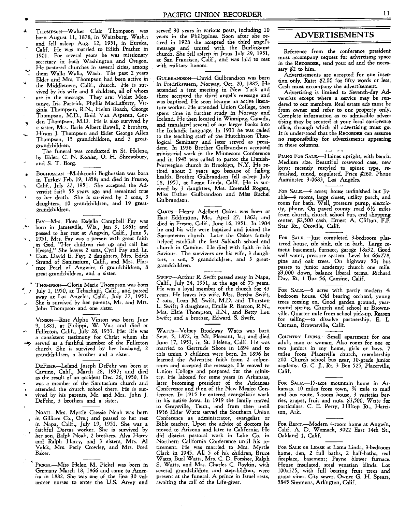- THOMPSON-Walter Clair Thompson was born August 11, 1878, in Waitsburg, Wash.; and fell asleep Aug. 12, 1951, in Eureka, Calif. He was married to Edith Prather in 1901. For several years he was missionary secretary in both Washington and Oregon. He pastored churches in several cities, among
- them Walla Walla, Wash. The past 2 years Elder and Mrs. Thompson had been active in ÷ the Middletown, Calif., church. He is survived by his wife and 8 children, all of whom are in the message. They are: Violet Montanye, Iris Partrick, Phyllis MacLafferty, Virginia Thompson, RN., Helen Roach, George Thompson, M.D., Enid Van Asperen, Gor-
- den Thompson, M.D. He is also survived by a sister, Mrs. Earle Albert Rowell, 2 brothers, Hiram J. Thompson and Elder George Allen
- Thompson, 15 grandchildren, and 3 greatgrandchildren.

The funeral was conducted in St. Helena, by Elders C. N. Kohler, 0. H. Shrewsbury, and S. T. Borg.

- BoGHOSSIAN-Mahkroohi Boghossian was born in Turkey Feb. 19, 1858; and died in Fresno,
- Calif., July 22, 1951. She accepted the Adventist faith 55 years ago and remained true
- to her death. She is survived by 2 sons, 3 daughters, 10 grandchildren, and 19 greatgrandchildren.
- FAY—Mrs. Flora Esdella Campbell Fay was
- born in Jamesville, Wis., Jan 3, 1861; and passed to her rest at Angwin, Calif., June 5, 1951. Mrs. Fay was a person with great faith
- . in God. "Her children rise up and call her blessed." She leaves 2 sons, Cyril Fay and Lt.
- Com. David E. Fay; 2 daughters, Mrs. Edith ,. Strand of Sanitarium, Calif., and Mrs. Flor-
- ence Pearl of Angwin; 6 grandchildren, 8 great-grandchildren, and a sister.
- THomFsoN—Gloria Marie Thompson was born
- July 1, 1950, at Tehachapi, Calif., and passed away at Los Angeles, Calif., July 27, 1951. She is survived by her parents, Mr. and Mrs.
- John Thompson and one sister.

Vnvson—Rose Alpha Vinson was born June<br>9, 1881, at Philippi, W. Va.; and died at<br>Fullerton, Calif., July 28, 1951. Her life was a consistent testimony for Christ whom she

served as a faithful member of the Fullerton church. She is survived by her husband, 2 grandchildren, a brother and a sister.

DEFEmt—Leland Joseph DeFehr was born at Camino, Calif., March 28, 1937; and died as the result of an accident Dec. 26, 1950. He was a member of the Sanitarium church and attended the church school there. He is survived by his parents, Mr. and Mrs. John J. DeFehr, 3 brothers and a sister.

NoAH—Mrs. Myrtle Cressie Noah was born in Gilliam Co., Ore.; and passed to her rest in Napa, Calif., July 19, 1951. She was a faithful Dorcas worker. She is survived by her son, Ralph Noah, 2 brothers, Alva Harry and Ralph Harry, and 3 sisters, Mrs. Al Volck, Mrs. Perly Crowley, and Mrs. Fred Baker.

**<sup>k</sup>PICKEL—Miss** Helen M. Pickel was born in Germany March 18, 1866 and came to America in 1882. She was one of the first 30 volunteer nurses to enter the U.S. Army and served 30 years in various posts, including 10 years in the Philippines. Soon after she retired in 1928 she accepted the third angel's message and united with the Burlingame church. She fell asleep in Jesus July 29, 1951, at San Francisco, Calif., and was laid to rest with military honors.

GULBRANDSON-David Gulbrandson was born in Fredriksvaern, Norway, Oct. 20, 1885. He attended a tent meeting in New York and there accepted the third angel's message and was baptized. He soon became an active literature worker. He attended Union College, then spent time in further study in Norway and Iceland. He then located in Winnipeg, Canada, and translated several of our larger books into the Icelandic language. In 1931 he was called to the teaching staff of the Hutchinson Theological Seminary and later served as president. In 1936 Brother Gulbrandson accepted ministerial work in the Minnesota Conference and in 1945 was called to pastor the Danish-Norwegian church in Brooklyn, N.Y. He retired about 2 years ago because of failing health. Brother Gulbrandson fell asleep July 18, 1951, at Loma Linda, Calif. He is survived by 3 daughters, Mrs. Emerald Rogers, Miss Esther Gulbrandson and Miss Rachel Gulbrandson.

OAKEs—Henry Adelbert Oakes was born at East Eddington, Me., April 27, 1862; and died in Fresno, Calif., June 16, 1951. In 1904 he and his wife were baptized and joined the Sacramento church. Later the Oakes family helped establish the first Sabbath school and church in Camino. He died with faith in his Saviour. The survivors are his wife, 3 daughters, a son, 5 grandchildren, and 3 greatgrandchildren.

SWIFT—Arthur R. Swift passed away in Napa, Calif., July 24, 1951, at the age of 75 years. He was a loyal member of the church for 43 years. He leaves his wife, Mrs. Bertha Swift, 2 sons, Leon M. Swift, M.D. and Thurston L. Swift; 3 daughters, Emilie R. Barron, R.N., Mrs. Elsie Thompson, R.N., and Betty Lou Swift; and a brother, Edward S. Swift.

WATTS—Volney Brockway Watts was born Sept. 5, 1872, in Mt. Pleasant, Ia.; and died June 17, 1951, in St. Helena, Calif. He was married to Gertrude Shore in 1894 and to this union 5 children were born. In 1896 he learned the Adventist faith from 2 colporteurs and accepted the message. He moved to Union College and prepared for the ministry. He labored for some years in Arkansas, later becoming president of the Arkansas Conference and then of the New Mexico Conference. In 1915 he entered evangelistic work in his native Iowa. In 1919 the family moved to Graysville, Tenn., and from then until 1936 Elder Watts served the Southern Union Conference as administrator, evangelist or Bible teacher. Upon the advice of doctors he moved to Arizona and later to California. He did district pastoral work in Lake Co. in Northern California Conference until his retirement. He was married to Mrs. Myrtle Clark in 1945. All 5 of his children, Bruce Watts, Burl Watts, Mrs. C. D. Forshee, Ralph S. Watts, and Mrs. Charles C. Boykin, with several grandchildren and stepchildren, were present at the funeral. A prince in Israel rests, awaiting the call of the Life-giver.

## **ADVERTISEMENTS**

Reference from the conference president must accompany request for advertising space in the **RECORDER,** send your ad and the necessary \$2 to him.

Advertisements are accepted for one insertion only. Rate: \$2.00 for fifty words or less. Cash must accompany the advertisement.

Advertising is limited to Seventh-day Adventists except where a service may be rendered to our members. Real estate ads must be from owner and refer to one property only. Complete information as to admissible advertising may be secured at your local conference office, through which all advertising must go. It is understood that the **RECORDER** can assume no responsibility for advertisments appearing in these columns.

PIANO FOR SALE.<sup>-</sup>Haines upright, with bench. Medium size. Beautiful rosewood case, new keys; recently restyled to spinet type, re-finished, tuned, regulated. Price \$260. Phone Axminster 3-0683, Los Angeles.

FOR SALE.<sup>4</sup> acres; house unfinished but livable-4 rooms, large closet, utility porch, and room for bath. Well, pressure pump, electricity, phone. On paved county road 61/2 miles from church, church school bus, and shopping center. \$2,500 cash. Ernest A. Clifton, *F.F.*  Star Rt., Oroville, Calif.

**FOR SALE.—JUst** completed 3-bedroom plastered house, tile sink, tile in bath. Large cement basement, furnace, garage 18x32. Good well water, pressure system. Level lot 66x278, pine and oak trees. On highway 50; bus passes to junior academy; church one mile. \$3,000 down, balance liberal terms. Richard Day, Rt. 1 Box 56, Camino, Calif.

For SALE.<sup>-6</sup> acres with partly modern 4. bedroom house. Old bearing orchard, young trees coming on. Good garden ground, yearround spring. Church and school at Brownsville. Quarter mile from school pick-up. Reason for selling—to dissolve partnership. E. L. Carman, Brownsville, Calif.

**COUNTRY LIVING.—Small** apartment for one adult, man or woman. Also room for one or two juniors in my home, girls or boys. 7 miles from Placerville church, membership 200. Church school bus near, 10-grade junior academy. G. C. J., Rt. 3 Box 525, Placerville, Calif.

**FOR SALE.-15-acre** mountain home in Arkansas. 10 miles from town, 34 mile to mail and bus route. 5-room house, 3 varieties berries, grapes, fruit and nuts. \$1,500. Write for particulars. C. E. Perry, Hilltop Rt., Harrison, Ark.

**FOR RENT.—Modern** 4-room home at Angwin, Calif. A. D. Womack, 3022 East 14th St., Oakland 1, Calif.

**FOR SALE OR LEASE** at Loma Linda, 3-bedroom home, den, 2 full baths, 2 half-baths, real fireplace, basement; Payne blower furnace. House insulated, steel venetian blinds. Lot 100x125, with full bearing fruit trees and grape vines. City sewer. Owner G. H. Spears, 5845 Simmons, Arlington, Calif.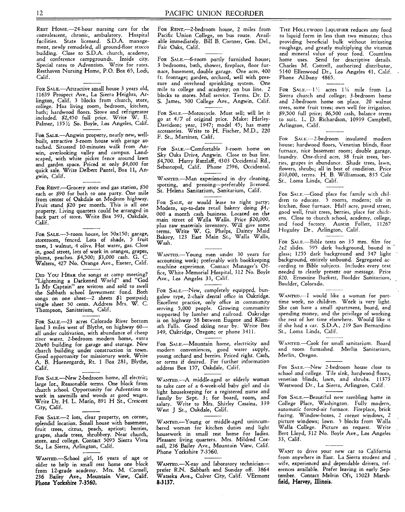REST HOME.-24-hour nursing care for the convalescent, chronic, ambulatory. Hospital facilities. State licensed. S.D.A. management, newly remodeled, all ground-floor stucco building. Close to S.D.A. church, academy, and conference campgrounds. Inside city. Special rates to Adventists. Write for rates. Resthaven Nursing Home, P.O. Box 65, Lodi, Calif.

FOR SALE—Attractive small house 3 years old, 11639 Prospect Ave., La Sierra Heights, Arlington, Calif. 3 blocks from church, store, college. Has living room, bedroom, kitchen, bath; hardwood floors. Stove and refrigerator included. \$2,450 full price. Write W. E. Palmer, 135 1/2 So. Boyle, Los Angeles, Calif.

FOR SALE.—Angwin property, nearly new, wellbuilt, attractive 3-room house with garage attached. Situated 10-minutes walk from Anwin, overlooking valley and campus. Landscaped, with white picket fence around lawn and garden space. Priced at only \$4,000 for quick sale. Write Delbert Pantel, Box 11, Angwin, Calif.

FOR RENT.—Grocery store and gas station, \$50 each or \$90 for both to one party. One mile from center of Oakdale on Modesto highway. Fruit stand \$20 per month. This is all one property. Living quarters could be arranged in back part of store. Write Box 593, Oakdale, Calif.

For SALE.--5-room house, lot 50x150; garage, storeroom, fenced. Lots of shade, 5 fruit trees, 1 walnut, 4 olive. Hot water, gas. Close in, good street, lots of work in oranges, grapes, plums, peaches. \$4,500; \$3,000 cash. G. C. Walters, 427 No. Orange Ave., Exeter, Calif.

DID YOU HEAR the songs at camp meeting? "Lightening a Darkened World" and "God Is My Captain" are written and sold to swell the Sabbath school Investment fund. Both songs on one sheet-2 sheets \$1 postpaid; single sheet 50 cents. Address Mrs. W. C. Thompson, Sanitarium, Calif.

FOR SALE.--23 acres Colorado River bottom land 3 miles west of Blythe, on highway 60all under cultivation, with abundance of cheap river water. 2-bedroom modern home, extra 20x40 building for garage and storage. New church building under construction in town. Good opportunity for missionary work. Write A. B. Huenergardt, Rt. 1 Box 281, Blythe, Calif.

FOR SALE—New 2-bedroom home, all electric; large lot., Reasonable terms. One block from church school. Opportunity for Adventists to work in sawmills and woods at good wages. Write Dr. H. L. Marin, 891 H St., Crescent City, Calif.

FOR SALE.-- 2 lots, clear property, on corner, splendid location. Small house with basement, fruit trees, citrus, peach, apricot; berries, grapes, shade trees, shrubbery. Near church, store, and college. Contact 5095 Sierra Vista St., La Sierra, Arlington, Calif.

WANTED.--School girl, 16 years of age or older to help in small rest home one block from 12-grade academy. Mrs. M. Cornell, 236 Bailey Ave., Mountain View, Calif. Phone Yorkshire 7.3560.

FOR RENT.----2-bedroom house, 2 miles from Pacific Union College, on bus route. Available immediately. Bill B. Cortner, Gen. Del., Fair Oaks, Calif.

For SALE.-6-room partly furnished house; 3 bedrooms, bath, shower, fireplace, floor furnace, basement, double garage. One acre, 400 ft. frontage; garden, orchard, well with pressure and overhead sprinkling system. One mile to college and academy; on bus line. 2 blocks to stores. Mail service. Terms. Dr. D. S. James, 500 College Ave., Angwin, Calif.

FOR SALE—Motorcycle. Must sell; will let it go at 4/7 of original price. Make: Harley-Davidson; year, 1947; model 45; has many accessories. Write to H. Fischer, M.D., 220 F. St., Martinez, Calif.

FOR SALE—Comfortable 3-room home on Sky Oaks Drive, Angwin. Close to bus line. \$4,700. Harry Ratzlaff, 4303 Occidental Rd., Sebastopol, Calif. Phone 2596, Occidental.

WANTED.—Man experienced in dry cleaning, spotting, and pressing—preferably licensed. St. Helena Sanitarium, Sanitarium, Calif.

FOR SALE, or would lease to right party; Modern, up-to-date retail bakery doing \$4,- 000 a month cash business. Located on the main street of Walla Walla. Price \$20,000, plus raw materials inventory. Will give some terms. Write W. G. Phelps, Dainty Maid Bakery, 123 East Main St., Walla Walla, Wash.

WANTED.—Young men under 30 years for accounting work; preferably with bookkeeping machine experience. Contact Manager's Office, White Memorial Hospital, 312 No. Boyle Ave., Los Angeles 33, Calif.

FOR SALE.—New, completely equipped, bungalow type, 2-chair dental office in Oakridge. Excellent practice, only office in community serving 5,000 people. Growing community supported by lumber and railroad. Oakridge is on highway 58 between Eugene and Klamath Falls. Good skiing near by. Write Box 349, Oakridge, Oregon; or phone 3411.

FOR SALE.—Mountain home, electricity and modern conveniences, good water supply, young orchard and berries. Priced right. Cash, or terms if desired. For further information address Box 157, Oakdale, Calif.

WANTED.—A middle-aged or elderly woman to take care of a 6-week-old baby girl and do light housekeeping for a registered nurse and family by Sept. 3; for board, room, and salary. Write to Mrs. Shirley Cassina, 339 West J St., Oakdale, Calif.

WANTED.—Young or middle-aged unincumbered woman for kitchen duties and light housework in small rest home for ladies. Pleasant living quarters. Mrs. Mildred Cornell, 236 Bailey Ave., Mountain View, Calif. Phone Yorkshire 7-3560.

WANTED.—X-ray and laboratory technician prefer R.N. Sabbath and Sunday off. 3864 Watseka Ave., Culver City, Calif. VErmont 8.3137.

THE HOLLYWOOD LIQUIFIER reduces any food to liquid form in less than two minutes; thus providing beneficial bulk without irritating roughage, and greatly multiplying the vitamin and mineral value of your food. Countless home uses. Send for descriptive details. Charles M. Cottrell, authorized distributor, 5140 Ellenwood Dr., Los Angeles 41, Calif. Phone ALbany 4865.

FOR  $SALE$   $-1\frac{1}{2}$  acres  $1\frac{1}{4}$  mile from La Sierra church and college; 3-bedroom home and 2-bedroom home on place. 20 walnut trees, some fruit trees; own well for irrigation. \$9,500 full price; \$6,500 cash, balance terms to suit. L. D. Richardson, 10939 Campbell, Arlington, Calif.

For SALE.---2-bedroom insulated modern house; hardwood floors, Venetian blinds, floor furnace, nice basement room; double garage, laundry. One-third acre, 38 fruit trees, berries, grapes in abundance. Shade trees, lawn, flowers, shrubs; all in best of condition. Price \$10,000, terms. H. B. Williamson, 835 Cole St., Loma Linda, Calif.

FOR SALE.—Good place for family with children to educate. 5 rooms, modern; tile in kitchen, floor furnace. Half acre, paved street, good well, fruit trees, berries, place for chickens. Close to church school, academy, college, and food factory. Austin Follett, 11267 Huguley Dr., Arlington, Calif.

FOR SALE—Bible texts on 35 mm. film for 2x2 slides. 595 dark background, bound in glass; 1255 dark background and 347 light background, entirely unbound. Segregated according to Bible subjects. Includes every text needed to clearly present our message. Price \$20. Ernestine Burkett, Boulder Sanitarium, Boulder, Colorado.

WANTED.---I would like a woman for parttime work, no children. Work is very light. She can have a small apartment, board, and spending money, and the privilege of working the rest of her time elsewhere. Would like it if she had a car. S.D.A., 219 San Bernardino St., Loma Linda, Calif.

WANTED.—Cook for small sanitarium. Board and room furnished. Merlin Sanitarium, Merlin, Oregon.

For SALE.--New 2-bedroom house close to school and college. Tile sink, hardwood floors, venetian blinds, lawn, and shrubs. 11373 Westwood Dr., La Sierra, Arlington, Calif.

FOR SALE.—Beautiful new rambling home in College Place, Washington. Fully modern, automatic forced-air furnace. Fireplace, brick facing. Window-boxes, 2 corner windows, 2 picture windows; lawn. 5 blocks from Walla Walla College. Picture on request. Write Bert Lloyd, 312 No. Boyle Ave., Los Angeles 33, Calif.

WANT to drive your new car to California from anywhere in East. La Sierra student and wife, experienced and dependable drivers, references available. Prefer leaving in early September, Contact Melvin Oft, 15023 Marshfield, **Harvey, Illinois.**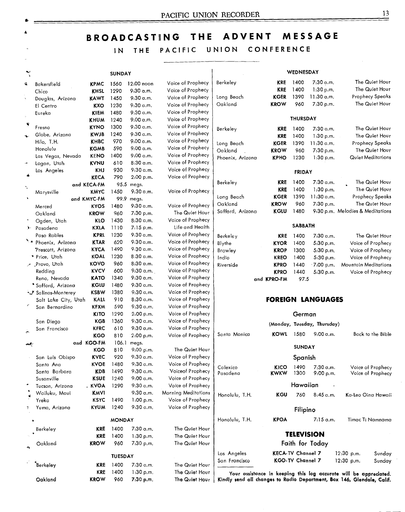# **BROADCASTING THE ADVENT MESSAGE**

# IN THE PACIFIC UNION CONFERENCE

 $\overline{\phantom{0}}$ 

|            |                       |                           | <b>SUNDAY</b>  |                        |                                        |                                                                                                                                             |                          | WEDNESDAY         |                             |                                  |                                        |
|------------|-----------------------|---------------------------|----------------|------------------------|----------------------------------------|---------------------------------------------------------------------------------------------------------------------------------------------|--------------------------|-------------------|-----------------------------|----------------------------------|----------------------------------------|
| ₹          | Bakersfield           | <b>KPMC</b>               | 1560           | 12:00 noon             | Voice of Prophecy                      | Berkeley                                                                                                                                    | <b>KRE</b>               | 1400              | 7:30 a.m.                   |                                  | The Quiet Hour                         |
|            | Chico                 | <b>KHSL</b>               | 1290           | 9:30 a.m.              | Voice of Prophecy                      |                                                                                                                                             | <b>KRE</b>               | 1400              | 1:30 p.m.                   |                                  | The Quiet Hour                         |
|            | Douglas, Arizona      | KAWT                      | 1450           | 9.30 a.m.              | Voice of Prophecy                      | Long Beach                                                                                                                                  | <b>KGER</b>              | 1390              | $11:30$ a.m.                |                                  | <b>Prophecy Speaks</b>                 |
|            | El Centro             | KXO                       | 1230           | 9.30 a.m.              | Voice of Prophecy                      | Oakland                                                                                                                                     | <b>KROW</b>              | 960               | 7:30 p.m.                   |                                  | The Quiet Hour                         |
|            | Eureka                | <b>KIEM</b>               | 1480           | 9.30 a.m.              | Voice of Prophecy                      |                                                                                                                                             |                          |                   |                             |                                  |                                        |
|            |                       | <b>KHUM</b>               | 1240           | 9:00a.m.               | Voice of Prophecy                      |                                                                                                                                             |                          | <b>THURSDAY</b>   |                             |                                  |                                        |
| R          | Fresno                | <b>KYNO</b>               | 1300           | $9:30$ a.m.            | Vaice of Praphecy                      | Berkeley                                                                                                                                    | KRE                      | 1400              | 7:30 a.m.                   |                                  | The Quiet Hour                         |
|            | Globe, Arizana        | <b>KWJB</b>               | 1240           | 9.30 a.m.              | Voice of Prophecy                      |                                                                                                                                             | KRE                      | 1400              | 1:30 p.m.                   |                                  | The Quiet Hour                         |
|            | Hilo, T.H.            | <b>KHBC</b>               | 970            | 9:00a.m.               | Voice of Prophecy                      | Long Beach                                                                                                                                  | <b>KGER</b>              | 1390              | $11:30$ a.m.                |                                  | <b>Prophecy Speaks</b>                 |
|            | Honolulu              | <b>KGMB</b>               | 590            | $9:00$ a.m.            | Voice of Prophecy                      | Oakland                                                                                                                                     | <b>KROW</b>              | 960               | 7:30 p.m.                   |                                  | The Quiet Hour                         |
|            | Las Vegas, Nevada     | <b>KENO</b>               | 1400           | $9:00 \text{ a.m.}$    | Voice of Prophecy                      | Phoenix, Arizona                                                                                                                            | <b>KPHO</b>              | 1230              | 1:30 p.m.                   |                                  | Quiet Meditations                      |
|            | Logan, Utah           | <b>KVNU</b>               | 610            | 8:30a.m.               | Vaice of Prophecy                      |                                                                                                                                             |                          |                   |                             |                                  |                                        |
|            | Los Angeles           | KHJ                       | 930            | 9:30 a.m.              | Voice of Prophecy                      |                                                                                                                                             |                          | <b>FRIDAY</b>     |                             |                                  |                                        |
|            |                       | <b>KECA</b>               | 790            | 2:00 p.m.              | Voice of Prophecy                      |                                                                                                                                             |                          |                   |                             |                                  |                                        |
| т,         |                       | and KECA-FM               |                | 95.5 megs.             |                                        | Berkeley                                                                                                                                    | <b>KRE</b>               | 1400              | 7.30 a.m.                   |                                  | The Quiet Hour                         |
|            | Marysville            | <b>KMYC</b>               | 1450           | 9:30 a.m.              | Voice of Prophecy                      |                                                                                                                                             | KRE                      | 1400              | 1:30 p.m.                   |                                  | The Quiet Hour                         |
|            |                       | and KMYC-FM               | 99.9           | megs.                  |                                        | Long Beach                                                                                                                                  | <b>KGER</b>              | 1390              | 11.30 a.m.                  |                                  | <b>Prophecy Speaks</b>                 |
|            | Merced                | <b>KYOS</b>               | 1480           | 9:30a.m.               | Voice of Prophecy                      | Oakland                                                                                                                                     | <b>KROW</b>              | 960               | 7:30 p.m.                   |                                  | The Quiet Hour                         |
|            | Oakland               | <b>KROW</b>               | 960            | 7.30 p.m.              | The Quiet Haur                         | Safford, Arizona                                                                                                                            | KGLU                     | 1480              |                             | 9:30 p.m. Melodies & Meditations |                                        |
|            | Ogden, Utah           | KLO                       | 1430           | 8.30 a.m.              | Vaice of Prophecy                      |                                                                                                                                             |                          | <b>SABBATH</b>    |                             |                                  |                                        |
|            | Pasadena              | KXLA                      | 1110           | $7:15$ p.m.            | Life and Health                        |                                                                                                                                             |                          |                   |                             |                                  |                                        |
|            | Paso Rables           | <b>KPRL</b>               | 1230           | 9:30 a.m.              | Voice of Prophecy                      | Berkeley                                                                                                                                    | <b>KRE</b>               | 1400              | 7:30 a.m.                   |                                  | The Quiet Hour                         |
|            | N. A Phoenix, Arizona | <b>KTAR</b>               | 620            | 9:30a.m.               | Voice of Prophecy                      | Blythe                                                                                                                                      | <b>KYOR</b>              | 1400              | 5:30 p.m.                   |                                  | Voice of Prophecy                      |
|            | Prescott, Arizona     | KYCA                      | 1490           | 9:30 a.m.              | Voice of Prophecy                      | Brawley                                                                                                                                     | <b>KROP</b>              | 1300              | 5.30 p.m.                   |                                  | Voice of Prophecy                      |
|            | * Price, Utah         | KOAL                      | 1230           | 8:30 a.m.              | Voice of Prophecy                      | Indio                                                                                                                                       | <b>KREO</b>              | 1400              | 5:30 p.m.                   |                                  | Voice of Prophecy                      |
|            | ノ Provo, Utah         | <b>KOVO</b>               | 960            | 8:30 a.m.              | Voice of Prophecy                      | Riverside                                                                                                                                   | <b>KPRO</b>              | 1440              | .7.00 p.m.                  | Mountain Meditations             |                                        |
|            | Redding               | <b>KVCV</b>               | 600            | $9.30$ a.m.            | Voice of Prophecy                      |                                                                                                                                             | <b>KPRO</b>              | 1440              | 5:30 p.m.                   |                                  | Voice of Prophecy                      |
|            | Reno, Nevada          | <b>KATO</b>               | 1340           | 9:30 a.m.              | Voice of Prophecy                      |                                                                                                                                             | and KPRO-FM              | 97.5              |                             |                                  |                                        |
|            | * Safford, Arizona    | <b>KGLU</b>               | 1480           | 9:30 a.m.              | Voice of Prophecy                      |                                                                                                                                             |                          |                   |                             |                                  |                                        |
|            | Salinas-Monterey      | <b>KSBW</b>               | 1380           | 9:30 a.m.              | Vaice of Prophecy                      |                                                                                                                                             |                          |                   |                             |                                  |                                        |
|            | Salt Lake City, Utah  | KALL                      | 910            | 8.30 a.m.              | Voice of Prophecy                      |                                                                                                                                             |                          |                   | <b>FOREIGN LANGUAGES</b>    |                                  |                                        |
|            | San Bernardino        | <b>KFXM</b>               | 590            | 9:30a.m.               | Vaice of Prophecy                      |                                                                                                                                             |                          |                   |                             |                                  |                                        |
|            |                       | <b>KITO</b>               | 1290           | 2.00 p.m.              | Voice of Prophecy                      |                                                                                                                                             |                          | German            |                             |                                  |                                        |
|            | San Diego             | KGB                       | 1360<br>610    | 9.30 a.m.<br>9.30 a.m. | Voice of Prophecy<br>Voice af Prophecy |                                                                                                                                             |                          |                   | (Monday, Tuesday, Thursday) |                                  |                                        |
| $\sqrt{2}$ | San Francisco         | <b>KFRC</b><br><b>KGO</b> | 810            | 2.00 p.m.              | Vaice of Prophecy                      | Santa Monica                                                                                                                                | <b>KOWL</b>              | 1580              | $9.00 \, \alpha.m.$         |                                  | Back to the Bible                      |
|            |                       | and KGO-FM                | 106.1          | megs.                  |                                        |                                                                                                                                             |                          |                   |                             |                                  |                                        |
| جمعه       |                       | KGO                       | 810            | 9:00 p.m.              | The Quiet Hour                         |                                                                                                                                             |                          | <b>SUNDAY</b>     |                             |                                  |                                        |
|            | San Luis Obispo       | <b>KVEC</b>               | 920            | 9.30 a.m.              | Voice of Prophecy                      |                                                                                                                                             |                          | Spanish           |                             |                                  |                                        |
|            | Santa Ana             | <b>KVOE</b>               | 1480           | 9.30 a.m.              | Voice of Prophecy                      |                                                                                                                                             |                          |                   |                             |                                  |                                        |
|            | Santa Barbara         | KDB                       | 1490           | 9.30 a.m.              | Voiceof Prophecy                       | Calexico<br>Pasadena                                                                                                                        | κιςο<br><b>KWKW</b>      | 1490<br>1300      | 7:30a.m.                    |                                  | Voice of Prophecy<br>Voice of Prophecy |
|            | Susanville            | KSUE                      | 1240           | $9:00$ a.m.            | Voice of Prophecy                      |                                                                                                                                             |                          |                   | 9:00 p.m.                   |                                  |                                        |
|            | Tucson, Arizona       | . KVOA                    | 1290           | $9:30$ a.m.            | Voice of Praphecy                      |                                                                                                                                             |                          | Hawaiian          |                             |                                  |                                        |
|            | Wailuku, Maui         | <b>K</b> MVI              |                | 9:30a.m.               | Morning Meditatians                    | Honolulu, T.H.                                                                                                                              | KGU                      | 760               | 8.45a.m.                    |                                  | Ka-Leo Oina Hawaii                     |
|            | Yreka                 | KSYC                      | 1490           | 1:00 p.m.              | Voice of Prophecy                      |                                                                                                                                             |                          |                   |                             |                                  |                                        |
|            | Yuma, Arizona         | KYUM                      | 1240           | $9.30$ a.m.            | Voice of Prophecy                      |                                                                                                                                             |                          | Filipino          |                             |                                  |                                        |
|            |                       |                           |                |                        |                                        | Honolulu, T.H.                                                                                                                              | KPOA                     |                   | 7:15 a.m.                   |                                  | Timac Ti Namnama                       |
|            |                       |                           | <b>MONDAY</b>  |                        |                                        |                                                                                                                                             |                          |                   |                             |                                  |                                        |
|            | Berkeley              | KRE                       | 1400           | 7:30 a.m.              | The Quiet Hour                         |                                                                                                                                             |                          | <b>TELEVISION</b> |                             |                                  |                                        |
|            |                       | KRE                       | 1400           | 1:30 p.m.              | The Quiet Hour<br>The Quiet Hour       |                                                                                                                                             |                          |                   |                             |                                  |                                        |
|            | Oakland               | <b>KROW</b>               | 960            | 7:30 p.m.              |                                        |                                                                                                                                             |                          |                   | Faith for Today             |                                  |                                        |
|            |                       |                           | <b>TUESDAY</b> |                        |                                        | Los Angeles                                                                                                                                 | <b>KECA-TV Channel 7</b> |                   |                             | 12:30 p.m.                       | Sunday                                 |
|            | *Berkeley             | <b>KRE</b>                | 1400           | 7:30 a.m.              | The Quiet Hour                         | San Francisco                                                                                                                               |                          | KGO-TV Channel 7  |                             | 12:30 p.m.                       | Sunday                                 |
|            |                       | KRE                       | 1400           | 1.30 p.m.              | The Quiet Hour                         |                                                                                                                                             |                          |                   |                             |                                  |                                        |
|            | Oakland               | <b>KROW</b>               | 960            | 7:30 p.m.              | The Quiet Hour                         | Your assistance in keeping this log accurate will be appreciated.<br>Kindly send all changes to Radio Department, Box 146, Glendale, Calif. |                          |                   |                             |                                  |                                        |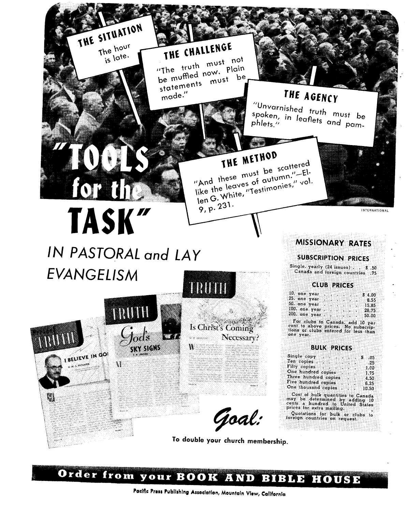

# **1HE CHALLENGE**

"The truth must not be muffled now. Plain be mumieu must be performant de la mondiale de la mercialista de la mercialista de la mercialista de la mercia<br>Statements



made." THE AGENCY "Unvarnished truth must be

spoken, in leaflets and pam-

# **THE MEINVE**  $\frac{1}{2}$  must be scale  $\frac{1}{2}$ . And  $\frac{1}{2}$  leaves of  $\frac{1}{2}$  automnes," vol like the leaves of autumn."-El-<br>like the leaves of autumn."-El-<br>len G. White, "Testimonies," vol. 9, p. 231.

# TASK" <u>1NTERNATIONAL</u> **IN PASTORAL and LAY EVANGELISM**

TRUTH

V

BELIEVE IN GOI

q

ads

SKY SIGNS





# **SERIES OF Necessary?**

 $\mathbf{V}$  and  $\mathbf{V}$ 

Goal:

# **To double your church membership.**

# **MISSIONARY RATES**

# **SUBSCRIPTION PRICES**

Single. yearly (24 issues) . . \$ .50 Canada and foreign countries .75

# **CLUB PRICES**

10, one year<br>25, one year  $\cdot \cdot \cdot \cdot \cdot 8.55$ <br>50, one year  $\cdot \cdot \cdot \cdot \cdot 15.85$ <br>100, one year  $\cdot \cdot \cdot \cdot 28.75$  $200.$  one year  $50.00$ <br> $200.$  one year  $50.00$ 

For clubs to Canada, add 10 per cent to above prices. No subscrip-tions or clubs entered for less than one year.

# **BULK PRICES**

| Single copy          |  | S<br>.05 |
|----------------------|--|----------|
| Ten copies           |  | .25      |
| Fifty copies         |  | 1.00     |
| One hundred copies   |  | $-1.75$  |
| Three hundred copies |  | 4.50     |
| Five hundred copies  |  | 6.25     |
| One thousand copies  |  | 10.50    |

Cost of bulk quantities to Canada may be determined by adding 10 cents a hundred to United States prices for extra mailing. Quotations for bulk or clubs to foreign countries on request.

Order from your BOOK AND BIBLE HOUSE

**Pacific Press Publishing Association, Mountain View, California**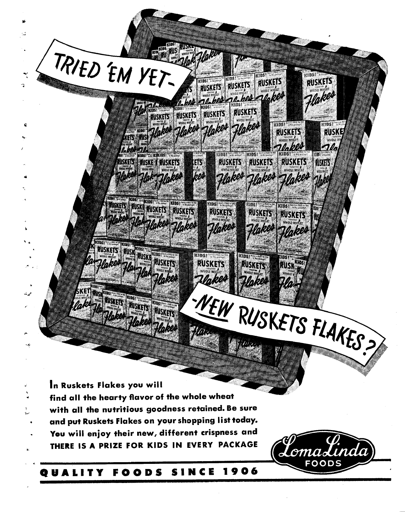

# **QUALITY FOODS SINCE 1906**